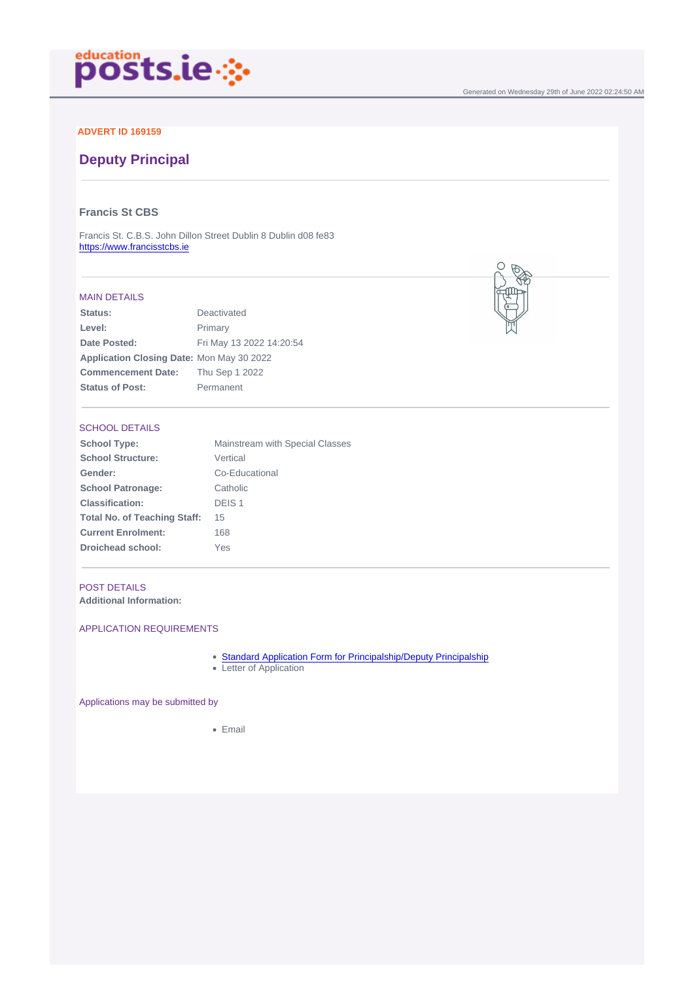### ADVERT ID 169159

# Deputy Principal

### Francis St CBS

Francis St. C.B.S. John Dillon Street Dublin 8 Dublin d08 fe83 <https://www.francisstcbs.ie>

#### MAIN DETAILS

| Status:                   | Deactivated              |
|---------------------------|--------------------------|
| Level:                    | Primary                  |
| Date Posted:              | Fri May 13 2022 14:20:54 |
| Application Closing Date: | Mon May 30 2022          |
| Commencement Date:        | Thu Sep 1 2022           |
| Status of Post:           | Permanent                |
|                           |                          |

## SCHOOL DETAILS

| School Type:                 | Mainstream with Special Classes |
|------------------------------|---------------------------------|
| School Structure:            | Vertical                        |
| Gender:                      | Co-Educational                  |
| School Patronage:            | Catholic                        |
| Classification:              | DEIS <sub>1</sub>               |
| Total No. of Teaching Staff: | 15                              |
| <b>Current Enrolment:</b>    | 168                             |
| Droichead school:            | Yes                             |
|                              |                                 |

#### POST DETAILS

Additional Information:

### APPLICATION REQUIREMENTS

- [Standard Application Form for Principalship/Deputy Principalship](/docs/Application-Form-for-Primary-Principalship-and-Deputy-Principalship-Open....docx)
- Letter of Application

Applications may be submitted by

• Email